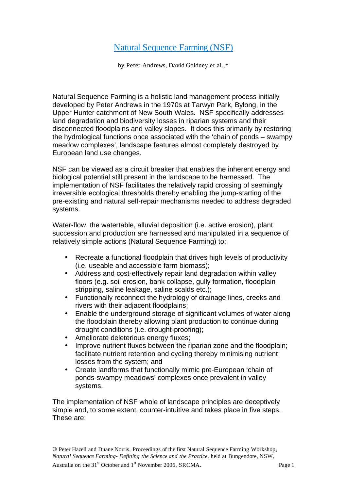## Natural Sequence Farming (NSF)

by Peter Andrews, David Goldney et al.,\*

Natural Sequence Farming is a holistic land management process initially developed by Peter Andrews in the 1970s at Tarwyn Park, Bylong, in the Upper Hunter catchment of New South Wales. NSF specifically addresses land degradation and biodiversity losses in riparian systems and their disconnected floodplains and valley slopes. It does this primarily by restoring the hydrological functions once associated with the 'chain of ponds – swampy meadow complexes', landscape features almost completely destroyed by European land use changes.

NSF can be viewed as a circuit breaker that enables the inherent energy and biological potential still present in the landscape to be harnessed. The implementation of NSF facilitates the relatively rapid crossing of seemingly irreversible ecological thresholds thereby enabling the jump-starting of the pre-existing and natural self-repair mechanisms needed to address degraded systems.

Water-flow, the watertable, alluvial deposition (i.e. active erosion), plant succession and production are harnessed and manipulated in a sequence of relatively simple actions (Natural Sequence Farming) to:

- Recreate a functional floodplain that drives high levels of productivity (i.e. useable and accessible farm biomass);
- Address and cost-effectively repair land degradation within valley floors (e.g. soil erosion, bank collapse, gully formation, floodplain stripping, saline leakage, saline scalds etc.);
- Functionally reconnect the hydrology of drainage lines, creeks and rivers with their adjacent floodplains;
- Enable the underground storage of significant volumes of water along the floodplain thereby allowing plant production to continue during drought conditions (i.e. drought-proofing);
- Ameliorate deleterious energy fluxes;
- Improve nutrient fluxes between the riparian zone and the floodplain; facilitate nutrient retention and cycling thereby minimising nutrient losses from the system; and
- Create landforms that functionally mimic pre-European 'chain of ponds-swampy meadows' complexes once prevalent in valley systems.

The implementation of NSF whole of landscape principles are deceptively simple and, to some extent, counter-intuitive and takes place in five steps. These are: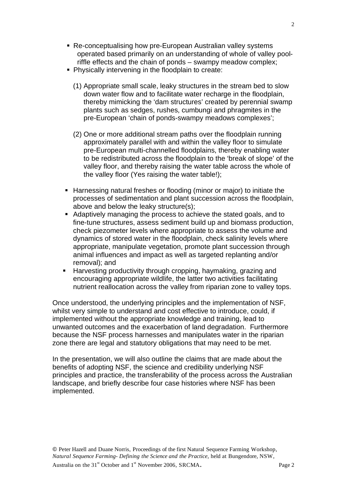- Re-conceptualising how pre-European Australian valley systems operated based primarily on an understanding of whole of valley poolriffle effects and the chain of ponds – swampy meadow complex;
- **Physically intervening in the floodplain to create:** 
	- (1) Appropriate small scale, leaky structures in the stream bed to slow down water flow and to facilitate water recharge in the floodplain, thereby mimicking the 'dam structures' created by perennial swamp plants such as sedges, rushes, cumbungi and phragmites in the pre-European 'chain of ponds-swampy meadows complexes';
	- (2) One or more additional stream paths over the floodplain running approximately parallel with and within the valley floor to simulate pre-European multi-channelled floodplains, thereby enabling water to be redistributed across the floodplain to the 'break of slope' of the valley floor, and thereby raising the water table across the whole of the valley floor (Yes raising the water table!);
- Harnessing natural freshes or flooding (minor or major) to initiate the processes of sedimentation and plant succession across the floodplain, above and below the leaky structure(s);
- Adaptively managing the process to achieve the stated goals, and to fine-tune structures, assess sediment build up and biomass production, check piezometer levels where appropriate to assess the volume and dynamics of stored water in the floodplain, check salinity levels where appropriate, manipulate vegetation, promote plant succession through animal influences and impact as well as targeted replanting and/or removal); and
- **Harvesting productivity through cropping, haymaking, grazing and** encouraging appropriate wildlife, the latter two activities facilitating nutrient reallocation across the valley from riparian zone to valley tops.

Once understood, the underlying principles and the implementation of NSF, whilst very simple to understand and cost effective to introduce, could, if implemented without the appropriate knowledge and training, lead to unwanted outcomes and the exacerbation of land degradation. Furthermore because the NSF process harnesses and manipulates water in the riparian zone there are legal and statutory obligations that may need to be met.

In the presentation, we will also outline the claims that are made about the benefits of adopting NSF, the science and credibility underlying NSF principles and practice, the transferability of the process across the Australian landscape, and briefly describe four case histories where NSF has been implemented.